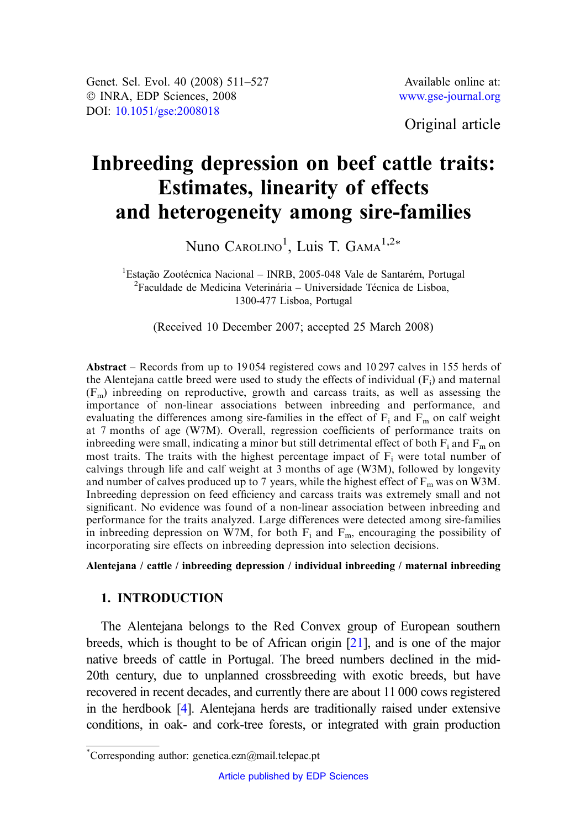Genet. Sel. Evol. 40 (2008) 511–527 © INRA, EDP Sciences, 2008 DOI: [10.1051/gse:2008018](http://dx.doi.org/10.1051/gse:2008018)

Original article

# Inbreeding depression on beef cattle traits: Estimates, linearity of effects and heterogeneity among sire-families

Nuno Carolino<sup>1</sup>, Luis T. Gama<sup>1,2\*</sup>

<sup>1</sup>Estação Zootécnica Nacional – INRB, 2005-048 Vale de Santarém, Portugal<br><sup>2</sup>Eaculdade de Medicina Veterinária – Universidade Técnica de Lisboa  ${}^{2}$ Faculdade de Medicina Veterinária – Universidade Técnica de Lisboa, 1300-477 Lisboa, Portugal

(Received 10 December 2007; accepted 25 March 2008)

Abstract – Records from up to 19 054 registered cows and 10 297 calves in 155 herds of the Alentejana cattle breed were used to study the effects of individual  $(F_i)$  and maternal  $(F<sub>m</sub>)$  inbreeding on reproductive, growth and carcass traits, as well as assessing the importance of non-linear associations between inbreeding and performance, and evaluating the differences among sire-families in the effect of  $F_i$  and  $F_m$  on calf weight at 7 months of age (W7M). Overall, regression coefficients of performance traits on inbreeding were small, indicating a minor but still detrimental effect of both  $F_i$  and  $F_m$  on most traits. The traits with the highest percentage impact of  $F_i$  were total number of calvings through life and calf weight at 3 months of age (W3M), followed by longevity and number of calves produced up to 7 years, while the highest effect of  $F_m$  was on W3M. Inbreeding depression on feed efficiency and carcass traits was extremely small and not significant. No evidence was found of a non-linear association between inbreeding and performance for the traits analyzed. Large differences were detected among sire-families in inbreeding depression on W7M, for both  $F_i$  and  $F_m$ , encouraging the possibility of incorporating sire effects on inbreeding depression into selection decisions.

Alentejana / cattle / inbreeding depression / individual inbreeding / maternal inbreeding

## 1. INTRODUCTION

The Alentejana belongs to the Red Convex group of European southern breeds, which is thought to be of African origin [[21](#page-15-0)], and is one of the major native breeds of cattle in Portugal. The breed numbers declined in the mid-20th century, due to unplanned crossbreeding with exotic breeds, but have recovered in recent decades, and currently there are about 11 000 cows registered in the herdbook [\[4\]](#page-14-0). Alentejana herds are traditionally raised under extensive conditions, in oak- and cork-tree forests, or integrated with grain production

<sup>\*</sup> Corresponding author: genetica.ezn@mail.telepac.pt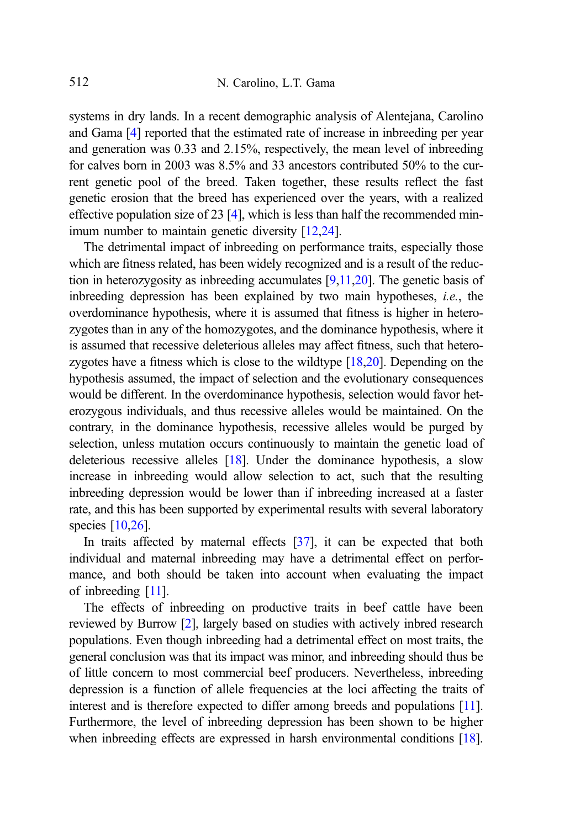systems in dry lands. In a recent demographic analysis of Alentejana, Carolino and Gama [\[4](#page-14-0)] reported that the estimated rate of increase in inbreeding per year and generation was 0.33 and 2.15%, respectively, the mean level of inbreeding for calves born in 2003 was 8.5% and 33 ancestors contributed 50% to the current genetic pool of the breed. Taken together, these results reflect the fast genetic erosion that the breed has experienced over the years, with a realized effective population size of 23 [[4](#page-14-0)], which is less than half the recommended min-imum number to maintain genetic diversity [[12,24\]](#page-15-0).

The detrimental impact of inbreeding on performance traits, especially those which are fitness related, has been widely recognized and is a result of the reduction in heterozygosity as inbreeding accumulates  $[9,11,20]$  $[9,11,20]$  $[9,11,20]$ . The genetic basis of inbreeding depression has been explained by two main hypotheses, i.e., the overdominance hypothesis, where it is assumed that fitness is higher in heterozygotes than in any of the homozygotes, and the dominance hypothesis, where it is assumed that recessive deleterious alleles may affect fitness, such that heterozygotes have a fitness which is close to the wildtype [\[18](#page-15-0),[20](#page-15-0)]. Depending on the hypothesis assumed, the impact of selection and the evolutionary consequences would be different. In the overdominance hypothesis, selection would favor heterozygous individuals, and thus recessive alleles would be maintained. On the contrary, in the dominance hypothesis, recessive alleles would be purged by selection, unless mutation occurs continuously to maintain the genetic load of deleterious recessive alleles  $[18]$ . Under the dominance hypothesis, a slow increase in inbreeding would allow selection to act, such that the resulting inbreeding depression would be lower than if inbreeding increased at a faster rate, and this has been supported by experimental results with several laboratory species [\[10](#page-15-0)[,26\]](#page-16-0).

In traits affected by maternal effects [[37](#page-16-0)], it can be expected that both individual and maternal inbreeding may have a detrimental effect on performance, and both should be taken into account when evaluating the impact of inbreeding [[11\]](#page-15-0).

The effects of inbreeding on productive traits in beef cattle have been reviewed by Burrow [\[2](#page-14-0)], largely based on studies with actively inbred research populations. Even though inbreeding had a detrimental effect on most traits, the general conclusion was that its impact was minor, and inbreeding should thus be of little concern to most commercial beef producers. Nevertheless, inbreeding depression is a function of allele frequencies at the loci affecting the traits of interest and is therefore expected to differ among breeds and populations [\[11\]](#page-15-0). Furthermore, the level of inbreeding depression has been shown to be higher when inbreeding effects are expressed in harsh environmental conditions [\[18\]](#page-15-0).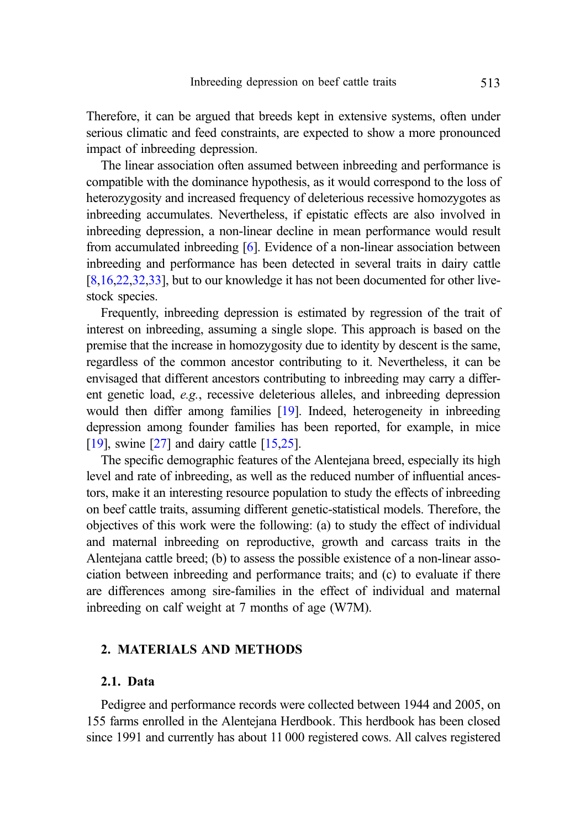Therefore, it can be argued that breeds kept in extensive systems, often under serious climatic and feed constraints, are expected to show a more pronounced impact of inbreeding depression.

The linear association often assumed between inbreeding and performance is compatible with the dominance hypothesis, as it would correspond to the loss of heterozygosity and increased frequency of deleterious recessive homozygotes as inbreeding accumulates. Nevertheless, if epistatic effects are also involved in inbreeding depression, a non-linear decline in mean performance would result from accumulated inbreeding [[6\]](#page-15-0). Evidence of a non-linear association between inbreeding and performance has been detected in several traits in dairy cattle [\[8,16,22](#page-15-0),[32,33\]](#page-16-0), but to our knowledge it has not been documented for other livestock species.

Frequently, inbreeding depression is estimated by regression of the trait of interest on inbreeding, assuming a single slope. This approach is based on the premise that the increase in homozygosity due to identity by descent is the same, regardless of the common ancestor contributing to it. Nevertheless, it can be envisaged that different ancestors contributing to inbreeding may carry a different genetic load, e.g., recessive deleterious alleles, and inbreeding depression would then differ among families [\[19\]](#page-15-0). Indeed, heterogeneity in inbreeding depression among founder families has been reported, for example, in mice [\[19\]](#page-15-0), swine [\[27\]](#page-16-0) and dairy cattle [\[15](#page-15-0),[25](#page-16-0)].

The specific demographic features of the Alentejana breed, especially its high level and rate of inbreeding, as well as the reduced number of influential ancestors, make it an interesting resource population to study the effects of inbreeding on beef cattle traits, assuming different genetic-statistical models. Therefore, the objectives of this work were the following: (a) to study the effect of individual and maternal inbreeding on reproductive, growth and carcass traits in the Alentejana cattle breed; (b) to assess the possible existence of a non-linear association between inbreeding and performance traits; and (c) to evaluate if there are differences among sire-families in the effect of individual and maternal inbreeding on calf weight at 7 months of age (W7M).

# 2. MATERIALS AND METHODS

## 2.1. Data

Pedigree and performance records were collected between 1944 and 2005, on 155 farms enrolled in the Alentejana Herdbook. This herdbook has been closed since 1991 and currently has about 11 000 registered cows. All calves registered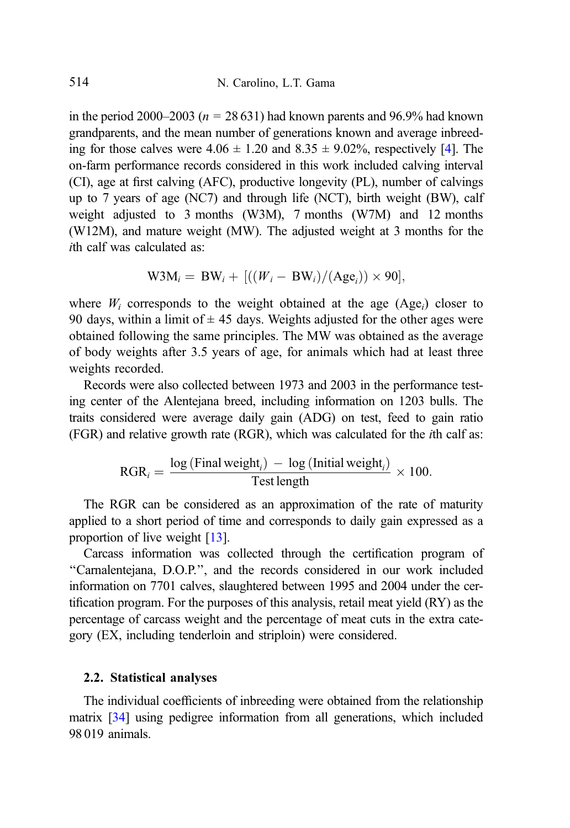in the period 2000–2003 ( $n = 28631$ ) had known parents and 96.9% had known grandparents, and the mean number of generations known and average inbreeding for those calves were  $4.06 \pm 1.20$  and  $8.35 \pm 9.02\%$ , respectively [\[4\]](#page-14-0). The on-farm performance records considered in this work included calving interval (CI), age at first calving (AFC), productive longevity (PL), number of calvings up to 7 years of age (NC7) and through life (NCT), birth weight (BW), calf weight adjusted to 3 months (W3M), 7 months (W7M) and 12 months (W12M), and mature weight (MW). The adjusted weight at 3 months for the ith calf was calculated as:

$$
W3M_i = BW_i + [((W_i - BW_i)/(Age_i)) \times 90],
$$

where  $W_i$  corresponds to the weight obtained at the age  $(Age_i)$  closer to 90 days, within a limit of  $\pm$  45 days. Weights adjusted for the other ages were obtained following the same principles. The MW was obtained as the average of body weights after 3.5 years of age, for animals which had at least three weights recorded.

Records were also collected between 1973 and 2003 in the performance testing center of the Alentejana breed, including information on 1203 bulls. The traits considered were average daily gain (ADG) on test, feed to gain ratio (FGR) and relative growth rate (RGR), which was calculated for the ith calf as:

$$
RGR_i = \frac{\log(\text{Final weight}_i) - \log(\text{Initial weight}_i)}{\text{Test length}} \times 100.
$$

The RGR can be considered as an approximation of the rate of maturity applied to a short period of time and corresponds to daily gain expressed as a proportion of live weight [\[13\]](#page-15-0).

Carcass information was collected through the certification program of ''Carnalentejana, D.O.P.'', and the records considered in our work included information on 7701 calves, slaughtered between 1995 and 2004 under the certification program. For the purposes of this analysis, retail meat yield (RY) as the percentage of carcass weight and the percentage of meat cuts in the extra category (EX, including tenderloin and striploin) were considered.

# 2.2. Statistical analyses

The individual coefficients of inbreeding were obtained from the relationship matrix [\[34\]](#page-16-0) using pedigree information from all generations, which included 98 019 animals.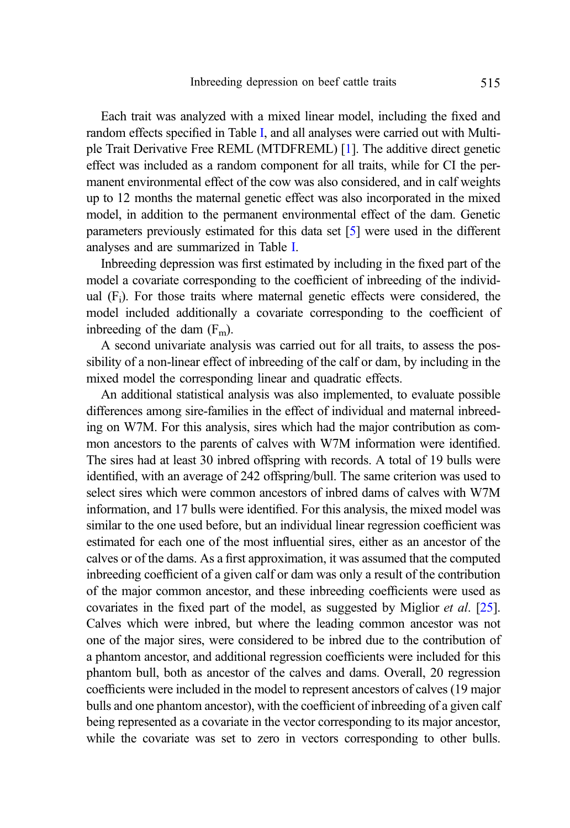Each trait was analyzed with a mixed linear model, including the fixed and random effects specified in Table [I,](#page-5-0) and all analyses were carried out with Multiple Trait Derivative Free REML (MTDFREML) [\[1\]](#page-14-0). The additive direct genetic effect was included as a random component for all traits, while for CI the permanent environmental effect of the cow was also considered, and in calf weights up to 12 months the maternal genetic effect was also incorporated in the mixed model, in addition to the permanent environmental effect of the dam. Genetic parameters previously estimated for this data set [\[5](#page-14-0)] were used in the different analyses and are summarized in Table [I.](#page-5-0)

Inbreeding depression was first estimated by including in the fixed part of the model a covariate corresponding to the coefficient of inbreeding of the individual (Fi). For those traits where maternal genetic effects were considered, the model included additionally a covariate corresponding to the coefficient of indreading of the dam  $(F_m)$ .

A second univariate analysis was carried out for all traits, to assess the possibility of a non-linear effect of inbreeding of the calf or dam, by including in the mixed model the corresponding linear and quadratic effects.

An additional statistical analysis was also implemented, to evaluate possible differences among sire-families in the effect of individual and maternal inbreeding on W7M. For this analysis, sires which had the major contribution as common ancestors to the parents of calves with W7M information were identified. The sires had at least 30 inbred offspring with records. A total of 19 bulls were identified, with an average of 242 offspring/bull. The same criterion was used to select sires which were common ancestors of inbred dams of calves with W7M information, and 17 bulls were identified. For this analysis, the mixed model was similar to the one used before, but an individual linear regression coefficient was estimated for each one of the most influential sires, either as an ancestor of the calves or of the dams. As a first approximation, it was assumed that the computed inbreeding coefficient of a given calf or dam was only a result of the contribution of the major common ancestor, and these inbreeding coefficients were used as covariates in the fixed part of the model, as suggested by Miglior et al. [\[25\]](#page-16-0). Calves which were inbred, but where the leading common ancestor was not one of the major sires, were considered to be inbred due to the contribution of a phantom ancestor, and additional regression coefficients were included for this phantom bull, both as ancestor of the calves and dams. Overall, 20 regression coefficients were included in the model to represent ancestors of calves (19 major bulls and one phantom ancestor), with the coefficient of inbreeding of a given calf being represented as a covariate in the vector corresponding to its major ancestor, while the covariate was set to zero in vectors corresponding to other bulls.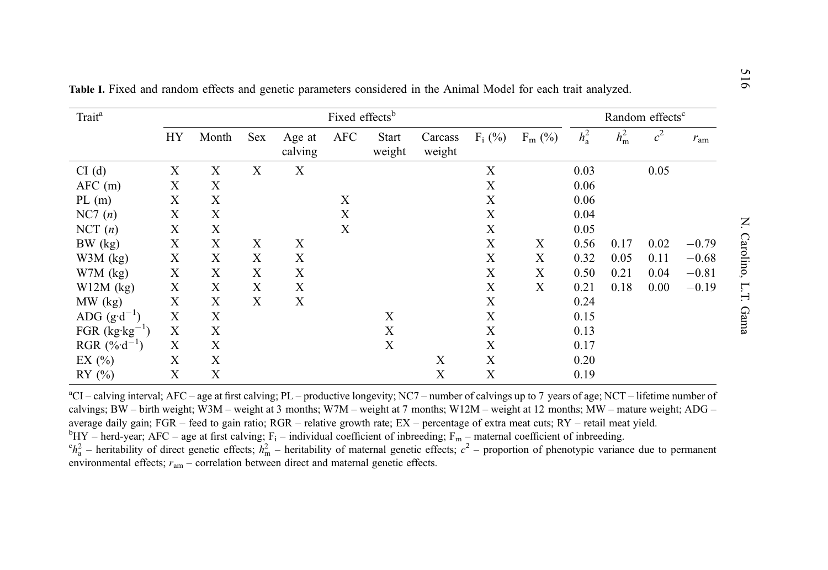| Trait <sup>a</sup>       | Fixed effects <sup>b</sup> |                           |             |                           |             |                 | Random effects <sup>c</sup> |                           |             |         |               |                |              |
|--------------------------|----------------------------|---------------------------|-------------|---------------------------|-------------|-----------------|-----------------------------|---------------------------|-------------|---------|---------------|----------------|--------------|
|                          | HY                         | Month                     | Sex         | Age at<br>calving         | <b>AFC</b>  | Start<br>weight | Carcass<br>weight           | $F_i$ (%)                 | $F_m$ (%)   | $h_a^2$ | $h_{\rm m}^2$ | c <sup>2</sup> | $r_{\rm am}$ |
| CI(d)                    | $\boldsymbol{\mathrm{X}}$  | $\mathbf X$               | $\mathbf X$ | X                         |             |                 |                             | X                         |             | 0.03    |               | 0.05           |              |
| $AFC$ (m)                | $\mathbf X$                | $\mathbf X$               |             |                           |             |                 |                             | X                         |             | 0.06    |               |                |              |
| PL(m)                    | $\mathbf X$                | $\mathbf X$               |             |                           | X           |                 |                             | X                         |             | 0.06    |               |                |              |
| NC7(n)                   | $\mathbf X$                | $\mathbf X$               |             |                           | X           |                 |                             | $\boldsymbol{\mathrm{X}}$ |             | 0.04    |               |                |              |
| NCT(n)                   | $\mathbf X$                | $\mathbf X$               |             |                           | $\mathbf X$ |                 |                             | $\boldsymbol{\mathrm{X}}$ |             | 0.05    |               |                |              |
| BW (kg)                  | $\mathbf X$                | $\mathbf X$               | X           | $\mathbf X$               |             |                 |                             | X                         | X           | 0.56    | 0.17          | 0.02           | $-0.79$      |
| $W3M$ (kg)               | $\mathbf X$                | X                         | X           | $\boldsymbol{\mathrm{X}}$ |             |                 |                             | X                         | X           | 0.32    | 0.05          | 0.11           | $-0.68$      |
| $W7M$ (kg)               | X                          | X                         | X           | $\boldsymbol{\mathrm{X}}$ |             |                 |                             | X                         | X           | 0.50    | 0.21          | 0.04           | $-0.81$      |
| $W12M$ (kg)              | X                          | $\boldsymbol{\mathrm{X}}$ | X           | $\boldsymbol{\mathrm{X}}$ |             |                 |                             | X                         | $\mathbf X$ | 0.21    | 0.18          | 0.00           | $-0.19$      |
| MW (kg)                  | $\mathbf X$                | X                         | $\mathbf X$ | $\boldsymbol{\mathrm{X}}$ |             |                 |                             | X                         |             | 0.24    |               |                |              |
| ADG $(g \cdot d^{-1})$   | $\mathbf X$                | $\mathbf X$               |             |                           |             | $\mathbf X$     |                             | X                         |             | 0.15    |               |                |              |
| FGR $(kg \cdot kg^{-1})$ | $\mathbf X$                | X                         |             |                           |             | X               |                             | X                         |             | 0.13    |               |                |              |
| RGR $(\%d^{-1})$         | X                          | X                         |             |                           |             | $\mathbf X$     |                             | X                         |             | 0.17    |               |                |              |
| EX $(\% )$               | X                          | X                         |             |                           |             |                 | X                           | X                         |             | 0.20    |               |                |              |
| RY(%)                    | $\mathbf X$                | $\boldsymbol{\mathrm{X}}$ |             |                           |             |                 | X                           | X                         |             | 0.19    |               |                |              |

<span id="page-5-0"></span>Table I. Fixed and random effects and genetic parameters considered in the Animal Model for each trait analyzed.

 ${}^{\text{a}}$ CI – calving interval; AFC – age at first calving; PL – productive longevity; NC7 – number of calvings up to 7 years of age; NCT – lifetime number of calvings; BW – birth weight; W3M – weight at 3 months; W7M – weight at 7 months; W12M – weight at 12 months; MW – mature weight; ADG – average daily gain; FGR – feed to gain ratio; RGR – relative growth rate; EX – percentage of extra meat cuts; RY – retail meat yield.  ${}^{b}HY$  – herd-year; AFC – age at first calving; F<sub>i</sub> – individual coefficient of inbreeding; F<sub>m</sub> – maternal coefficient of inbreeding.  ${}^c h_a^2$  – heritability of direct genetic effects;  $h_m^2$  – heritability of maternal genetic effects;  $c^2$  – proportion of phenotypic variance due to permanent environmental effects;  $r_{\text{am}}$  – correlation between direct and maternal genetic effects.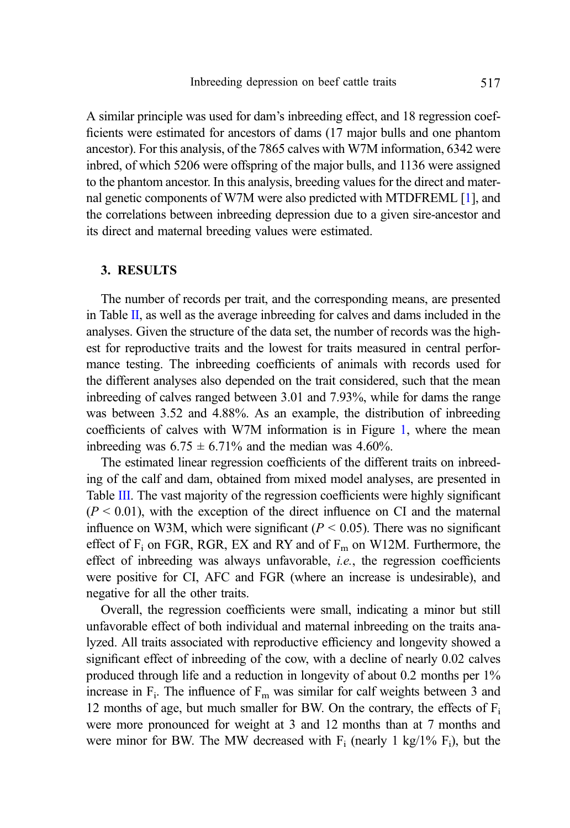A similar principle was used for dam's inbreeding effect, and 18 regression coefficients were estimated for ancestors of dams (17 major bulls and one phantom ancestor). For this analysis, of the 7865 calves with W7M information, 6342 were inbred, of which 5206 were offspring of the major bulls, and 1136 were assigned to the phantom ancestor. In this analysis, breeding values for the direct and maternal genetic components of W7M were also predicted with MTDFREML [[1](#page-14-0)], and the correlations between inbreeding depression due to a given sire-ancestor and its direct and maternal breeding values were estimated.

#### 3. RESULTS

The number of records per trait, and the corresponding means, are presented in Table [II](#page-7-0), as well as the average inbreeding for calves and dams included in the analyses. Given the structure of the data set, the number of records was the highest for reproductive traits and the lowest for traits measured in central performance testing. The inbreeding coefficients of animals with records used for the different analyses also depended on the trait considered, such that the mean inbreeding of calves ranged between 3.01 and 7.93%, while for dams the range was between 3.52 and 4.88%. As an example, the distribution of inbreeding coefficients of calves with W7M information is in Figure [1,](#page-7-0) where the mean inbreeding was  $6.75 \pm 6.71\%$  and the median was 4.60%.

The estimated linear regression coefficients of the different traits on inbreeding of the calf and dam, obtained from mixed model analyses, are presented in Table [III](#page-8-0). The vast majority of the regression coefficients were highly significant  $(P < 0.01)$ , with the exception of the direct influence on CI and the maternal influence on W3M, which were significant ( $P < 0.05$ ). There was no significant effect of  $F_i$  on FGR, RGR, EX and RY and of  $F_m$  on W12M. Furthermore, the effect of inbreeding was always unfavorable, *i.e.*, the regression coefficients were positive for CI, AFC and FGR (where an increase is undesirable), and negative for all the other traits.

Overall, the regression coefficients were small, indicating a minor but still unfavorable effect of both individual and maternal inbreeding on the traits analyzed. All traits associated with reproductive efficiency and longevity showed a significant effect of inbreeding of the cow, with a decline of nearly 0.02 calves produced through life and a reduction in longevity of about 0.2 months per 1% increase in  $F_i$ . The influence of  $F_m$  was similar for calf weights between 3 and 12 months of age, but much smaller for BW. On the contrary, the effects of  $F_i$ were more pronounced for weight at 3 and 12 months than at 7 months and were minor for BW. The MW decreased with  $F_i$  (nearly 1 kg/1%  $F_i$ ), but the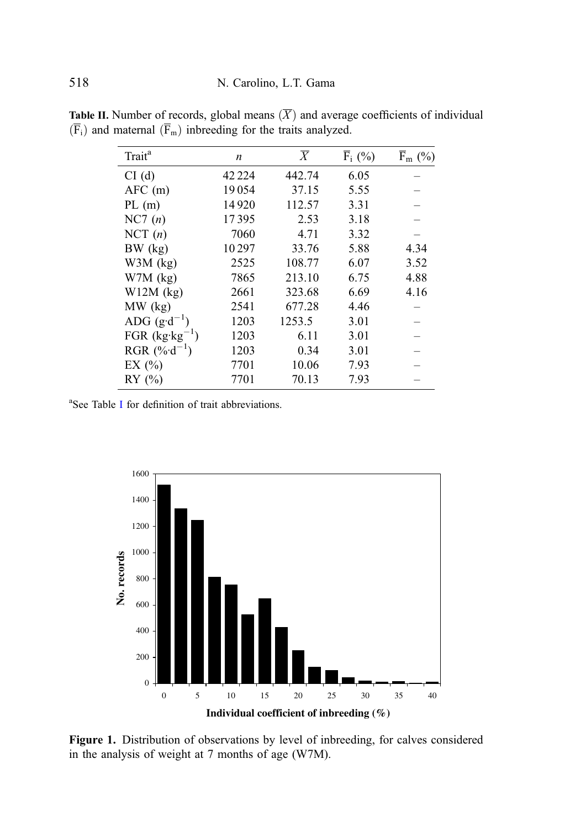| Trait <sup>a</sup>       | $\boldsymbol{n}$ | $\overline{X}$ | $\overline{F}_i$ (%) | $\overline{F}_{m}$ (%) |
|--------------------------|------------------|----------------|----------------------|------------------------|
| CI(d)                    | 42 2 2 4         | 442.74         | 6.05                 |                        |
| $AFC$ (m)                | 19054            | 37.15          | 5.55                 |                        |
| PL(m)                    | 14920            | 112.57         | 3.31                 |                        |
| NC7(n)                   | 17395            | 2.53           | 3.18                 |                        |
| NCT(n)                   | 7060             | 4.71           | 3.32                 |                        |
| BW (kg)                  | 10297            | 33.76          | 5.88                 | 4.34                   |
| $W3M$ (kg)               | 2525             | 108.77         | 6.07                 | 3.52                   |
| $W7M$ (kg)               | 7865             | 213.10         | 6.75                 | 4.88                   |
| $W12M$ (kg)              | 2661             | 323.68         | 6.69                 | 4.16                   |
| $MW$ (kg)                | 2541             | 677.28         | 4.46                 |                        |
| ADG $(g \cdot d^{-1})$   | 1203             | 1253.5         | 3.01                 |                        |
| FGR $(kg \cdot kg^{-1})$ | 1203             | 6.11           | 3.01                 |                        |
| RGR $(\%d^{-1})$         | 1203             | 0.34           | 3.01                 |                        |
| EX $(\% )$               | 7701             | 10.06          | 7.93                 |                        |
| RY(%)                    | 7701             | 70.13          | 7.93                 |                        |

<span id="page-7-0"></span>**Table II.** Number of records, global means  $(X)$  and average coefficients of individual  $(F_i)$  and maternal  $(F_m)$  inbreeding for the traits analyzed.

a See Table [I](#page-5-0) for definition of trait abbreviations.



Figure 1. Distribution of observations by level of inbreeding, for calves considered in the analysis of weight at 7 months of age (W7M).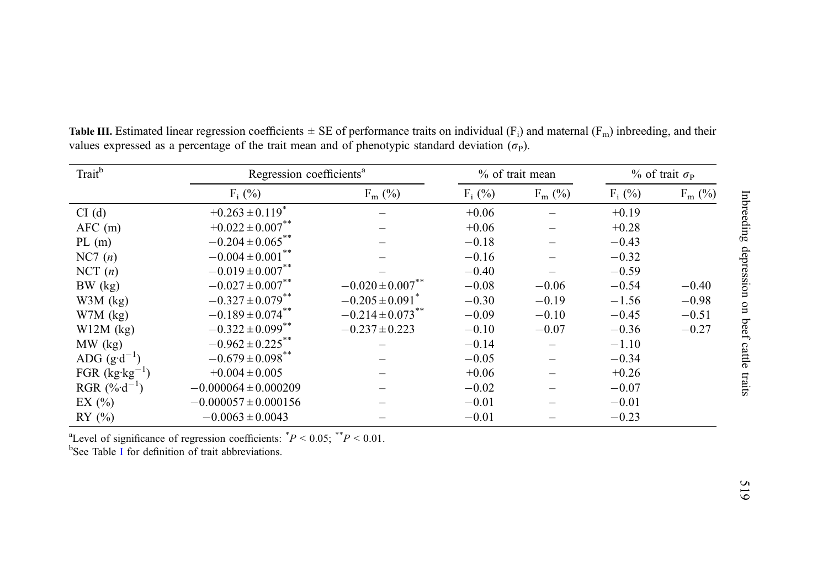| Trait <sup>b</sup>       | Regression coefficients <sup>a</sup> |                                  | % of trait mean | $%$ of trait $\sigma_{\rm P}$ |           |           |
|--------------------------|--------------------------------------|----------------------------------|-----------------|-------------------------------|-----------|-----------|
|                          | $F_i$ (%)                            | $F_m$ (%)                        | $F_i$ (%)       | $F_m$ (%)                     | $F_i$ (%) | $F_m$ (%) |
| CI(d)                    | $+0.263 \pm 0.119$ <sup>*</sup>      |                                  | $+0.06$         |                               | $+0.19$   |           |
| $AFC$ (m)                | $+0.022 \pm 0.007$ <sup>**</sup>     |                                  | $+0.06$         |                               | $+0.28$   |           |
| PL(m)                    | $-0.204 \pm 0.065$ **                |                                  | $-0.18$         |                               | $-0.43$   |           |
| NC7(n)                   | $-0.004 \pm 0.001$ <sup>**</sup>     |                                  | $-0.16$         |                               | $-0.32$   |           |
| NCT(n)                   | $-0.019 \pm 0.007$ <sup>**</sup>     |                                  | $-0.40$         |                               | $-0.59$   |           |
| BW (kg)                  | $-0.027 \pm 0.007$ <sup>**</sup>     | $-0.020 \pm 0.007$ <sup>**</sup> | $-0.08$         | $-0.06$                       | $-0.54$   | $-0.40$   |
| $W3M$ (kg)               | $-0.327 \pm 0.079$ <sup>**</sup>     | $-0.205 \pm 0.091$ <sup>*</sup>  | $-0.30$         | $-0.19$                       | $-1.56$   | $-0.98$   |
| $W7M$ (kg)               | $-0.189 \pm 0.074$ **                | $-0.214 \pm 0.073$ **            | $-0.09$         | $-0.10$                       | $-0.45$   | $-0.51$   |
| $W12M$ (kg)              | $-0.322 \pm 0.099$ <sup>**</sup>     | $-0.237 \pm 0.223$               | $-0.10$         | $-0.07$                       | $-0.36$   | $-0.27$   |
| $MW$ (kg)                | $-0.962 \pm 0.225$ **                |                                  | $-0.14$         |                               | $-1.10$   |           |
| ADG $(g \cdot d^{-1})$   | $-0.679 \pm 0.098$ **                |                                  | $-0.05$         |                               | $-0.34$   |           |
| FGR $(kg \cdot kg^{-1})$ | $+0.004 \pm 0.005$                   |                                  | $+0.06$         |                               | $+0.26$   |           |
| RGR $(\% d^{-1})$        | $-0.000064 \pm 0.000209$             |                                  | $-0.02$         |                               | $-0.07$   |           |
| EX $(\% )$               | $-0.000057 \pm 0.000156$             |                                  | $-0.01$         |                               | $-0.01$   |           |
| RY $(\% )$               | $-0.0063 \pm 0.0043$                 |                                  | $-0.01$         |                               | $-0.23$   |           |

<span id="page-8-0"></span>**Table III.** Estimated linear regression coefficients  $\pm$  SE of performance traits on individual (F<sub>i</sub>) and maternal (F<sub>m</sub>) inbreeding, and their values expressed as a percentage of the trait mean and of phenotypic standard deviation  $(\sigma_P)$ .

<sup>a</sup>Level of significance of regression coefficients:  $P < 0.05$ ;  $P < 0.01$ .  $b$ See Table [I](#page-5-0) for definition of trait abbreviations.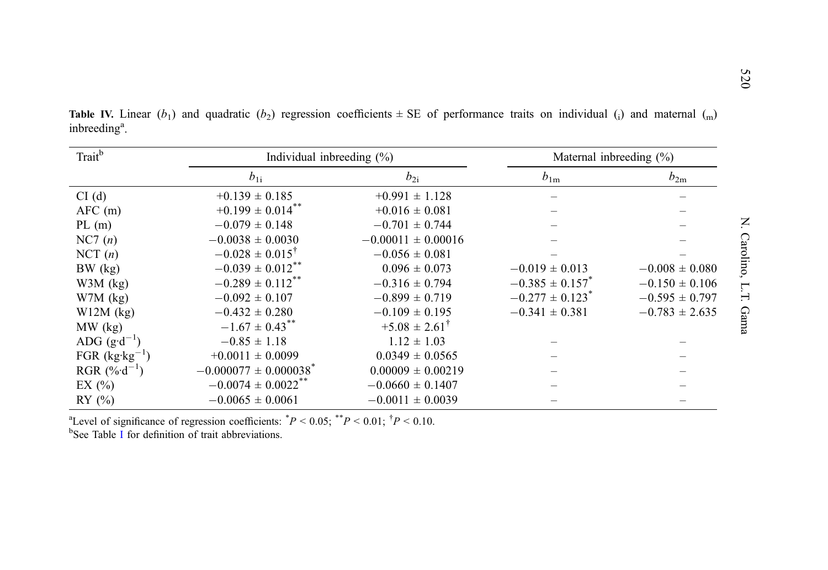| Trait <sup>b</sup>       | Individual inbreeding $(\%)$          |                            | Maternal inbreeding $(\%)$      |                    |  |  |
|--------------------------|---------------------------------------|----------------------------|---------------------------------|--------------------|--|--|
|                          | $b_{1i}$                              | $b_{2i}$                   | $b_{1m}$                        | $b_{2m}$           |  |  |
| CI(d)                    | $+0.139 \pm 0.185$                    | $+0.991 \pm 1.128$         |                                 |                    |  |  |
| $AFC$ (m)                | $+0.199 \pm 0.014$ <sup>**</sup>      | $+0.016 \pm 0.081$         |                                 |                    |  |  |
| PL(m)                    | $-0.079 \pm 0.148$                    | $-0.701 \pm 0.744$         |                                 |                    |  |  |
| NC7(n)                   | $-0.0038 \pm 0.0030$                  | $-0.00011 \pm 0.00016$     |                                 |                    |  |  |
| NCT(n)                   | $-0.028 \pm 0.015^{\dagger}$          | $-0.056 \pm 0.081$         |                                 |                    |  |  |
| $BW$ (kg)                | $-0.039 \pm 0.012$ **                 | $0.096 \pm 0.073$          | $-0.019 \pm 0.013$              | $-0.008 \pm 0.080$ |  |  |
| $W3M$ (kg)               | $-0.289 \pm 0.112$ **                 | $-0.316 \pm 0.794$         | $-0.385 \pm 0.157$ *            | $-0.150 \pm 0.106$ |  |  |
| $W7M$ (kg)               | $-0.092 \pm 0.107$                    | $-0.899 \pm 0.719$         | $-0.277 \pm 0.123$ <sup>*</sup> | $-0.595 \pm 0.797$ |  |  |
| $W12M$ (kg)              | $-0.432 \pm 0.280$                    | $-0.109 \pm 0.195$         | $-0.341 \pm 0.381$              | $-0.783 \pm 2.635$ |  |  |
| $MW$ (kg)                | $-1.67 \pm 0.43$ <sup>**</sup>        | $+5.08 \pm 2.61^{\dagger}$ |                                 |                    |  |  |
| ADG $(g \cdot d^{-1})$   | $-0.85 \pm 1.18$                      | $1.12 \pm 1.03$            |                                 |                    |  |  |
| FGR $(kg \cdot kg^{-1})$ | $+0.0011 \pm 0.0099$                  | $0.0349 \pm 0.0565$        |                                 |                    |  |  |
| RGR $(\%d^{-1})$         | $-0.000077 \pm 0.000038$ <sup>*</sup> | $0.00009 \pm 0.00219$      |                                 |                    |  |  |
| EX $(\%$                 | $-0.0074 \pm 0.0022$ <sup>**</sup>    | $-0.0660 \pm 0.1407$       |                                 |                    |  |  |
| RY $(\% )$               | $-0.0065 \pm 0.0061$                  | $-0.0011 \pm 0.0039$       |                                 |                    |  |  |

<span id="page-9-0"></span>**Table IV.** Linear (b<sub>1</sub>) and quadratic (b<sub>2</sub>) regression coefficients  $\pm$  SE of performance traits on individual (i) and maternal (<sub>m</sub>) inbreeding<sup>a</sup>.

<sup>a</sup>Level of significance of regression coefficients:  $^{\ast}P < 0.05; ^{\ast\ast}P < 0.01; ^{\dag}P < 0.10$ .

<sup>b</sup>See Table [I](#page-5-0) for definition of trait abbreviations.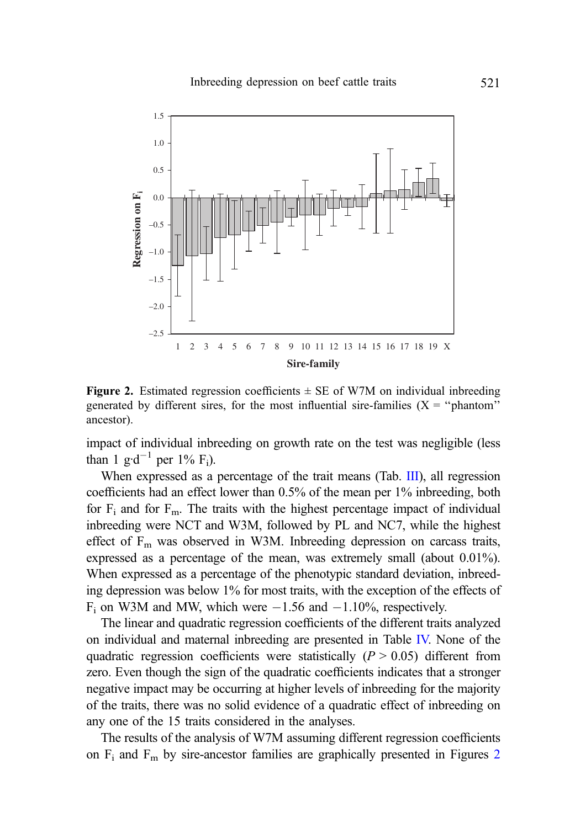

Figure 2. Estimated regression coefficients  $\pm$  SE of W7M on individual inbreeding generated by different sires, for the most influential sire-families  $(X = "phant"$ ancestor).

impact of individual inbreeding on growth rate on the test was negligible (less than 1 g·d<sup>-1</sup> per 1%  $F_i$ ).

When expressed as a percentage of the trait means (Tab. [III\)](#page-8-0), all regression coefficients had an effect lower than 0.5% of the mean per 1% inbreeding, both for  $F_i$  and for  $F_m$ . The traits with the highest percentage impact of individual inbreeding were NCT and W3M, followed by PL and NC7, while the highest effect of  $F_m$  was observed in W3M. Inbreeding depression on carcass traits, expressed as a percentage of the mean, was extremely small (about 0.01%). When expressed as a percentage of the phenotypic standard deviation, inbreeding depression was below 1% for most traits, with the exception of the effects of  $F_i$  on W3M and MW, which were  $-1.56$  and  $-1.10\%$ , respectively.

The linear and quadratic regression coefficients of the different traits analyzed on individual and maternal inbreeding are presented in Table [IV.](#page-9-0) None of the quadratic regression coefficients were statistically  $(P > 0.05)$  different from zero. Even though the sign of the quadratic coefficients indicates that a stronger negative impact may be occurring at higher levels of inbreeding for the majority of the traits, there was no solid evidence of a quadratic effect of inbreeding on any one of the 15 traits considered in the analyses.

The results of the analysis of W7M assuming different regression coefficients on  $F_i$  and  $F_m$  by sire-ancestor families are graphically presented in Figures 2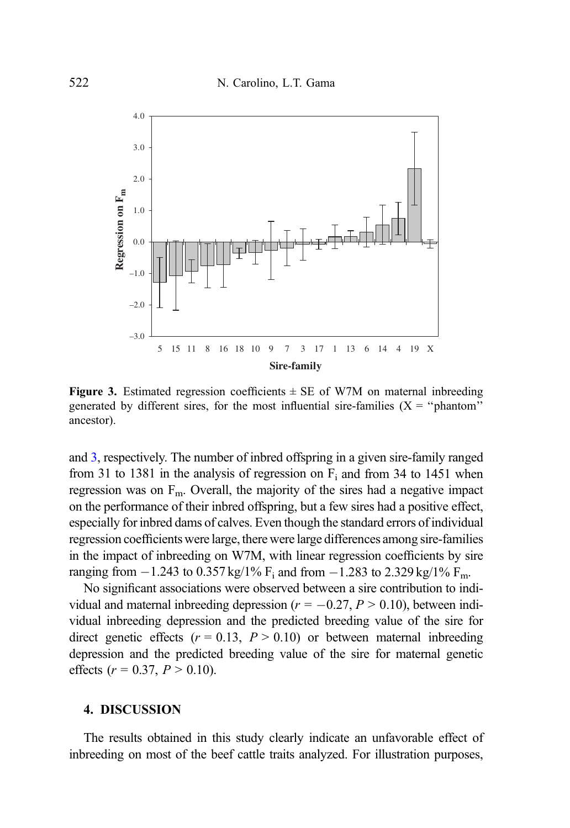

Figure 3. Estimated regression coefficients  $\pm$  SE of W7M on maternal inbreeding generated by different sires, for the most influential sire-families  $(X = "phant)$ ancestor).

and 3, respectively. The number of inbred offspring in a given sire-family ranged from 31 to 1381 in the analysis of regression on  $F_i$  and from 34 to 1451 when regression was on  $F<sub>m</sub>$ . Overall, the majority of the sires had a negative impact on the performance of their inbred offspring, but a few sires had a positive effect, especially for inbred dams of calves. Even though the standard errors of individual regression coefficients were large, there were large differences among sire-families in the impact of inbreeding on W7M, with linear regression coefficients by sire ranging from  $-1.243$  to  $0.357$  kg/1%  $F_i$  and from  $-1.283$  to  $2.329$  kg/1%  $F_m$ .

No significant associations were observed between a sire contribution to individual and maternal inbreeding depression ( $r = -0.27, P > 0.10$ ), between individual inbreeding depression and the predicted breeding value of the sire for direct genetic effects  $(r = 0.13, P > 0.10)$  or between maternal inbreeding depression and the predicted breeding value of the sire for maternal genetic effects ( $r = 0.37$ ,  $P > 0.10$ ).

## 4. DISCUSSION

The results obtained in this study clearly indicate an unfavorable effect of inbreeding on most of the beef cattle traits analyzed. For illustration purposes,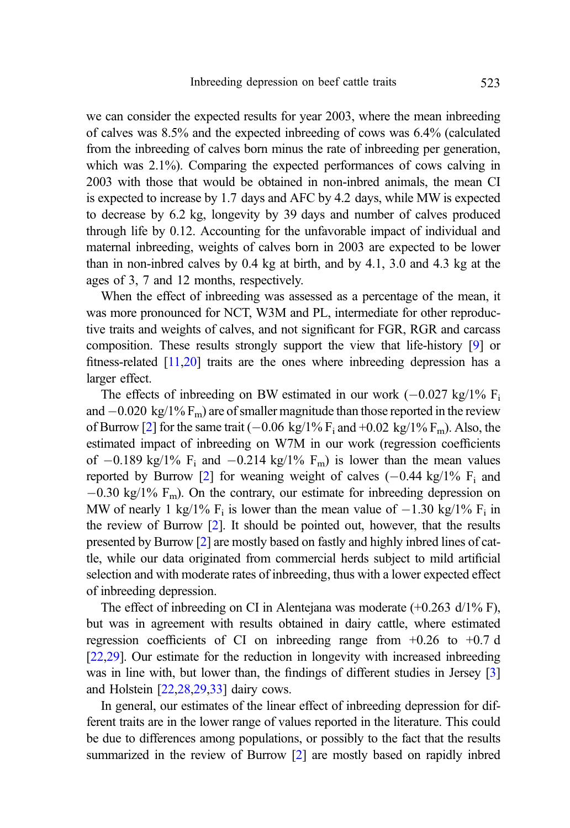we can consider the expected results for year 2003, where the mean inbreeding of calves was 8.5% and the expected inbreeding of cows was 6.4% (calculated from the inbreeding of calves born minus the rate of inbreeding per generation, which was 2.1%). Comparing the expected performances of cows calving in 2003 with those that would be obtained in non-inbred animals, the mean CI is expected to increase by 1.7 days and AFC by 4.2 days, while MW is expected to decrease by 6.2 kg, longevity by 39 days and number of calves produced through life by 0.12. Accounting for the unfavorable impact of individual and maternal inbreeding, weights of calves born in 2003 are expected to be lower than in non-inbred calves by 0.4 kg at birth, and by 4.1, 3.0 and 4.3 kg at the ages of 3, 7 and 12 months, respectively.

When the effect of inbreeding was assessed as a percentage of the mean, it was more pronounced for NCT, W3M and PL, intermediate for other reproductive traits and weights of calves, and not significant for FGR, RGR and carcass composition. These results strongly support the view that life-history [\[9\]](#page-15-0) or fitness-related  $[11,20]$  $[11,20]$  $[11,20]$  traits are the ones where inbreeding depression has a larger effect.

The effects of inbreeding on BW estimated in our work  $(-0.027 \text{ kg}/1\% \text{ F}_i)$ and  $-0.020 \text{ kg}/1\% \text{ F}_{\text{m}}$ ) are of smaller magnitude than those reported in the review of Burrow [[2](#page-14-0)] for the same trait  $(-0.06 \text{ kg}/1\% \text{ F}_i \text{ and } +0.02 \text{ kg}/1\% \text{ F}_m)$ . Also, the estimated impact of inbreeding on W7M in our work (regression coefficients of  $-0.189$  kg/1%  $F_i$  and  $-0.214$  kg/1%  $F_m$ ) is lower than the mean values reported by Burrow [[2](#page-14-0)] for weaning weight of calves  $(-0.44 \text{ kg}/1\% \text{ F}_i$  and  $-0.30 \text{ kg}/1\% \text{ F}_{\text{m}}$ ). On the contrary, our estimate for inbreeding depression on MW of nearly 1 kg/1%  $F_i$  is lower than the mean value of  $-1.30$  kg/1%  $F_i$  in the review of Burrow [\[2](#page-14-0)]. It should be pointed out, however, that the results presented by Burrow [\[2\]](#page-14-0) are mostly based on fastly and highly inbred lines of cattle, while our data originated from commercial herds subject to mild artificial selection and with moderate rates of inbreeding, thus with a lower expected effect of inbreeding depression.

The effect of inbreeding on CI in Alentejana was moderate (+0.263 d/1% F), but was in agreement with results obtained in dairy cattle, where estimated regression coefficients of CI on inbreeding range from  $+0.26$  to  $+0.7$  d [\[22,](#page-15-0)[29](#page-16-0)]. Our estimate for the reduction in longevity with increased inbreeding was in line with, but lower than, the findings of different studies in Jersey [\[3](#page-14-0)] and Holstein [\[22](#page-15-0),[28,29,33\]](#page-16-0) dairy cows.

In general, our estimates of the linear effect of inbreeding depression for different traits are in the lower range of values reported in the literature. This could be due to differences among populations, or possibly to the fact that the results summarized in the review of Burrow [\[2](#page-14-0)] are mostly based on rapidly inbred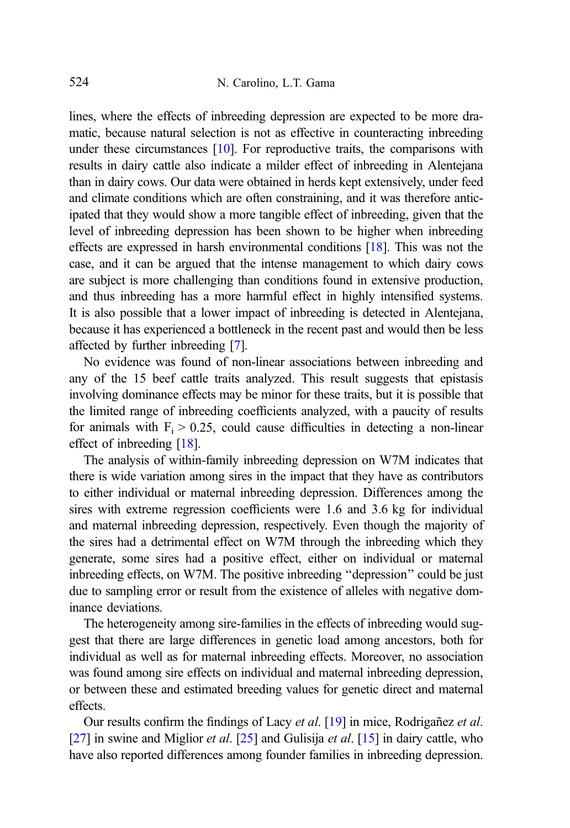lines, where the effects of inbreeding depression are expected to be more dramatic, because natural selection is not as effective in counteracting inbreeding under these circumstances [\[10\]](#page-15-0). For reproductive traits, the comparisons with results in dairy cattle also indicate a milder effect of inbreeding in Alentejana than in dairy cows. Our data were obtained in herds kept extensively, under feed and climate conditions which are often constraining, and it was therefore anticipated that they would show a more tangible effect of inbreeding, given that the level of inbreeding depression has been shown to be higher when inbreeding effects are expressed in harsh environmental conditions [[18](#page-15-0)]. This was not the case, and it can be argued that the intense management to which dairy cows are subject is more challenging than conditions found in extensive production, and thus inbreeding has a more harmful effect in highly intensified systems. It is also possible that a lower impact of inbreeding is detected in Alentejana, because it has experienced a bottleneck in the recent past and would then be less affected by further inbreeding [\[7](#page-15-0)].

No evidence was found of non-linear associations between inbreeding and any of the 15 beef cattle traits analyzed. This result suggests that epistasis involving dominance effects may be minor for these traits, but it is possible that the limited range of inbreeding coefficients analyzed, with a paucity of results for animals with  $F_i > 0.25$ , could cause difficulties in detecting a non-linear effect of inbreeding [\[18\]](#page-15-0).

The analysis of within-family inbreeding depression on W7M indicates that there is wide variation among sires in the impact that they have as contributors to either individual or maternal inbreeding depression. Differences among the sires with extreme regression coefficients were 1.6 and 3.6 kg for individual and maternal inbreeding depression, respectively. Even though the majority of the sires had a detrimental effect on W7M through the inbreeding which they generate, some sires had a positive effect, either on individual or maternal inbreeding effects, on W7M. The positive inbreeding ''depression'' could be just due to sampling error or result from the existence of alleles with negative dominance deviations.

The heterogeneity among sire-families in the effects of inbreeding would suggest that there are large differences in genetic load among ancestors, both for individual as well as for maternal inbreeding effects. Moreover, no association was found among sire effects on individual and maternal inbreeding depression, or between these and estimated breeding values for genetic direct and maternal effects.

Our results confirm the findings of Lacy et al. [\[19\]](#page-15-0) in mice, Rodriganez et al. [\[27\]](#page-16-0) in swine and Miglior *et al.* [\[25](#page-16-0)] and Gulisija *et al.* [\[15\]](#page-15-0) in dairy cattle, who have also reported differences among founder families in inbreeding depression.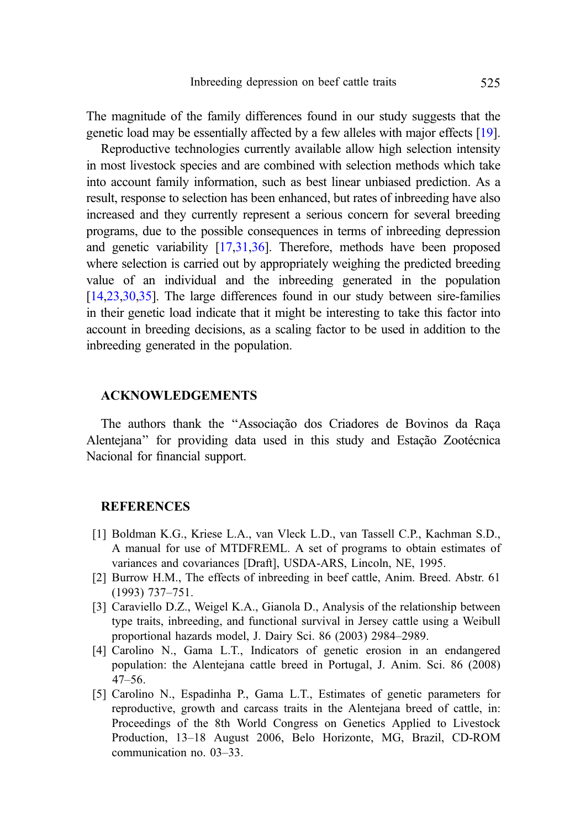<span id="page-14-0"></span>The magnitude of the family differences found in our study suggests that the genetic load may be essentially affected by a few alleles with major effects [\[19\]](#page-15-0).

Reproductive technologies currently available allow high selection intensity in most livestock species and are combined with selection methods which take into account family information, such as best linear unbiased prediction. As a result, response to selection has been enhanced, but rates of inbreeding have also increased and they currently represent a serious concern for several breeding programs, due to the possible consequences in terms of inbreeding depression and genetic variability [\[17](#page-15-0)[,31](#page-16-0),[36](#page-16-0)]. Therefore, methods have been proposed where selection is carried out by appropriately weighing the predicted breeding value of an individual and the inbreeding generated in the population [\[14,23](#page-15-0),[30,35\]](#page-16-0). The large differences found in our study between sire-families in their genetic load indicate that it might be interesting to take this factor into account in breeding decisions, as a scaling factor to be used in addition to the inbreeding generated in the population.

#### ACKNOWLEDGEMENTS

The authors thank the "Associação dos Criadores de Bovinos da Raca Alentejana" for providing data used in this study and Estacão Zootécnica Nacional for financial support.

### **REFERENCES**

- [1] Boldman K.G., Kriese L.A., van Vleck L.D., van Tassell C.P., Kachman S.D., A manual for use of MTDFREML. A set of programs to obtain estimates of variances and covariances [Draft], USDA-ARS, Lincoln, NE, 1995.
- [2] Burrow H.M., The effects of inbreeding in beef cattle, Anim. Breed. Abstr. 61 (1993) 737–751.
- [3] Caraviello D.Z., Weigel K.A., Gianola D., Analysis of the relationship between type traits, inbreeding, and functional survival in Jersey cattle using a Weibull proportional hazards model, J. Dairy Sci. 86 (2003) 2984–2989.
- [4] Carolino N., Gama L.T., Indicators of genetic erosion in an endangered population: the Alentejana cattle breed in Portugal, J. Anim. Sci. 86 (2008) 47–56.
- [5] Carolino N., Espadinha P., Gama L.T., Estimates of genetic parameters for reproductive, growth and carcass traits in the Alentejana breed of cattle, in: Proceedings of the 8th World Congress on Genetics Applied to Livestock Production, 13–18 August 2006, Belo Horizonte, MG, Brazil, CD-ROM communication no. 03–33.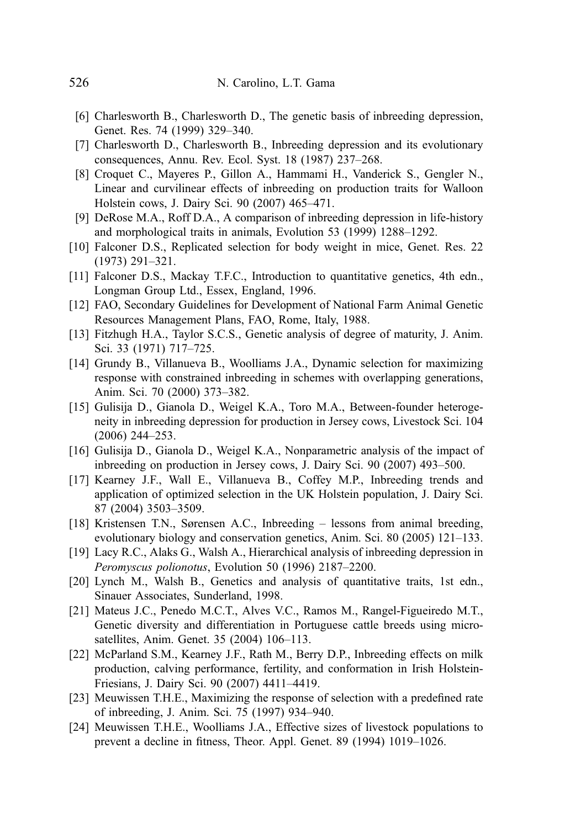- <span id="page-15-0"></span>[6] Charlesworth B., Charlesworth D., The genetic basis of inbreeding depression, Genet. Res. 74 (1999) 329–340.
- [7] Charlesworth D., Charlesworth B., Inbreeding depression and its evolutionary consequences, Annu. Rev. Ecol. Syst. 18 (1987) 237–268.
- [8] Croquet C., Mayeres P., Gillon A., Hammami H., Vanderick S., Gengler N., Linear and curvilinear effects of inbreeding on production traits for Walloon Holstein cows, J. Dairy Sci. 90 (2007) 465–471.
- [9] DeRose M.A., Roff D.A., A comparison of inbreeding depression in life-history and morphological traits in animals, Evolution 53 (1999) 1288–1292.
- [10] Falconer D.S., Replicated selection for body weight in mice, Genet. Res. 22 (1973) 291–321.
- [11] Falconer D.S., Mackay T.F.C., Introduction to quantitative genetics, 4th edn., Longman Group Ltd., Essex, England, 1996.
- [12] FAO, Secondary Guidelines for Development of National Farm Animal Genetic Resources Management Plans, FAO, Rome, Italy, 1988.
- [13] Fitzhugh H.A., Taylor S.C.S., Genetic analysis of degree of maturity, J. Anim. Sci. 33 (1971) 717–725.
- [14] Grundy B., Villanueva B., Woolliams J.A., Dynamic selection for maximizing response with constrained inbreeding in schemes with overlapping generations, Anim. Sci. 70 (2000) 373–382.
- [15] Gulisija D., Gianola D., Weigel K.A., Toro M.A., Between-founder heterogeneity in inbreeding depression for production in Jersey cows, Livestock Sci. 104 (2006) 244–253.
- [16] Gulisija D., Gianola D., Weigel K.A., Nonparametric analysis of the impact of inbreeding on production in Jersey cows, J. Dairy Sci. 90 (2007) 493–500.
- [17] Kearney J.F., Wall E., Villanueva B., Coffey M.P., Inbreeding trends and application of optimized selection in the UK Holstein population, J. Dairy Sci. 87 (2004) 3503–3509.
- [18] Kristensen T.N., Sørensen A.C., Inbreeding lessons from animal breeding, evolutionary biology and conservation genetics, Anim. Sci. 80 (2005) 121–133.
- [19] Lacy R.C., Alaks G., Walsh A., Hierarchical analysis of inbreeding depression in Peromyscus polionotus, Evolution 50 (1996) 2187–2200.
- [20] Lynch M., Walsh B., Genetics and analysis of quantitative traits, 1st edn., Sinauer Associates, Sunderland, 1998.
- [21] Mateus J.C., Penedo M.C.T., Alves V.C., Ramos M., Rangel-Figueiredo M.T., Genetic diversity and differentiation in Portuguese cattle breeds using microsatellites, Anim. Genet. 35 (2004) 106–113.
- [22] McParland S.M., Kearney J.F., Rath M., Berry D.P., Inbreeding effects on milk production, calving performance, fertility, and conformation in Irish Holstein-Friesians, J. Dairy Sci. 90 (2007) 4411–4419.
- [23] Meuwissen T.H.E., Maximizing the response of selection with a predefined rate of inbreeding, J. Anim. Sci. 75 (1997) 934–940.
- [24] Meuwissen T.H.E., Woolliams J.A., Effective sizes of livestock populations to prevent a decline in fitness, Theor. Appl. Genet. 89 (1994) 1019–1026.